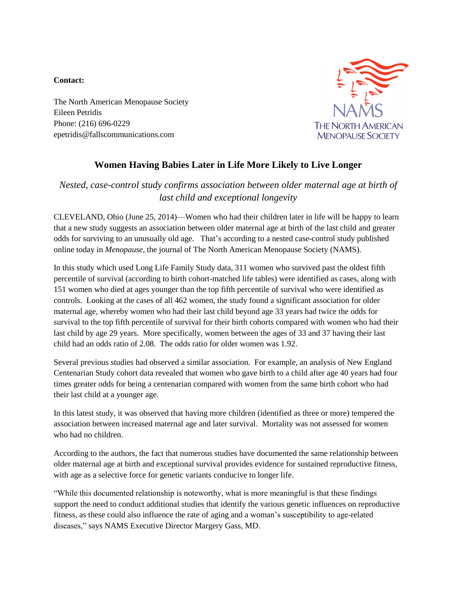## **Contact:**

The North American Menopause Society Eileen Petridis Phone: (216) 696-0229 epetridis@fallscommunications.com



## **Women Having Babies Later in Life More Likely to Live Longer**

## *Nested, case-control study confirms association between older maternal age at birth of last child and exceptional longevity*

CLEVELAND, Ohio (June 25, 2014)—Women who had their children later in life will be happy to learn that a new study suggests an association between older maternal age at birth of the last child and greater odds for surviving to an unusually old age. That's according to a nested case-control study published online today in *Menopause*, the journal of The North American Menopause Society (NAMS).

In this study which used Long Life Family Study data, 311 women who survived past the oldest fifth percentile of survival (according to birth cohort-matched life tables) were identified as cases, along with 151 women who died at ages younger than the top fifth percentile of survival who were identified as controls. Looking at the cases of all 462 women, the study found a significant association for older maternal age, whereby women who had their last child beyond age 33 years had twice the odds for survival to the top fifth percentile of survival for their birth cohorts compared with women who had their last child by age 29 years. More specifically, women between the ages of 33 and 37 having their last child had an odds ratio of 2.08. The odds ratio for older women was 1.92.

Several previous studies had observed a similar association. For example, an analysis of New England Centenarian Study cohort data revealed that women who gave birth to a child after age 40 years had four times greater odds for being a centenarian compared with women from the same birth cohort who had their last child at a younger age.

In this latest study, it was observed that having more children (identified as three or more) tempered the association between increased maternal age and later survival. Mortality was not assessed for women who had no children.

According to the authors, the fact that numerous studies have documented the same relationship between older maternal age at birth and exceptional survival provides evidence for sustained reproductive fitness, with age as a selective force for genetic variants conducive to longer life.

"While this documented relationship is noteworthy, what is more meaningful is that these findings support the need to conduct additional studies that identify the various genetic influences on reproductive fitness, as these could also influence the rate of aging and a woman's susceptibility to age-related diseases," says NAMS Executive Director Margery Gass, MD.